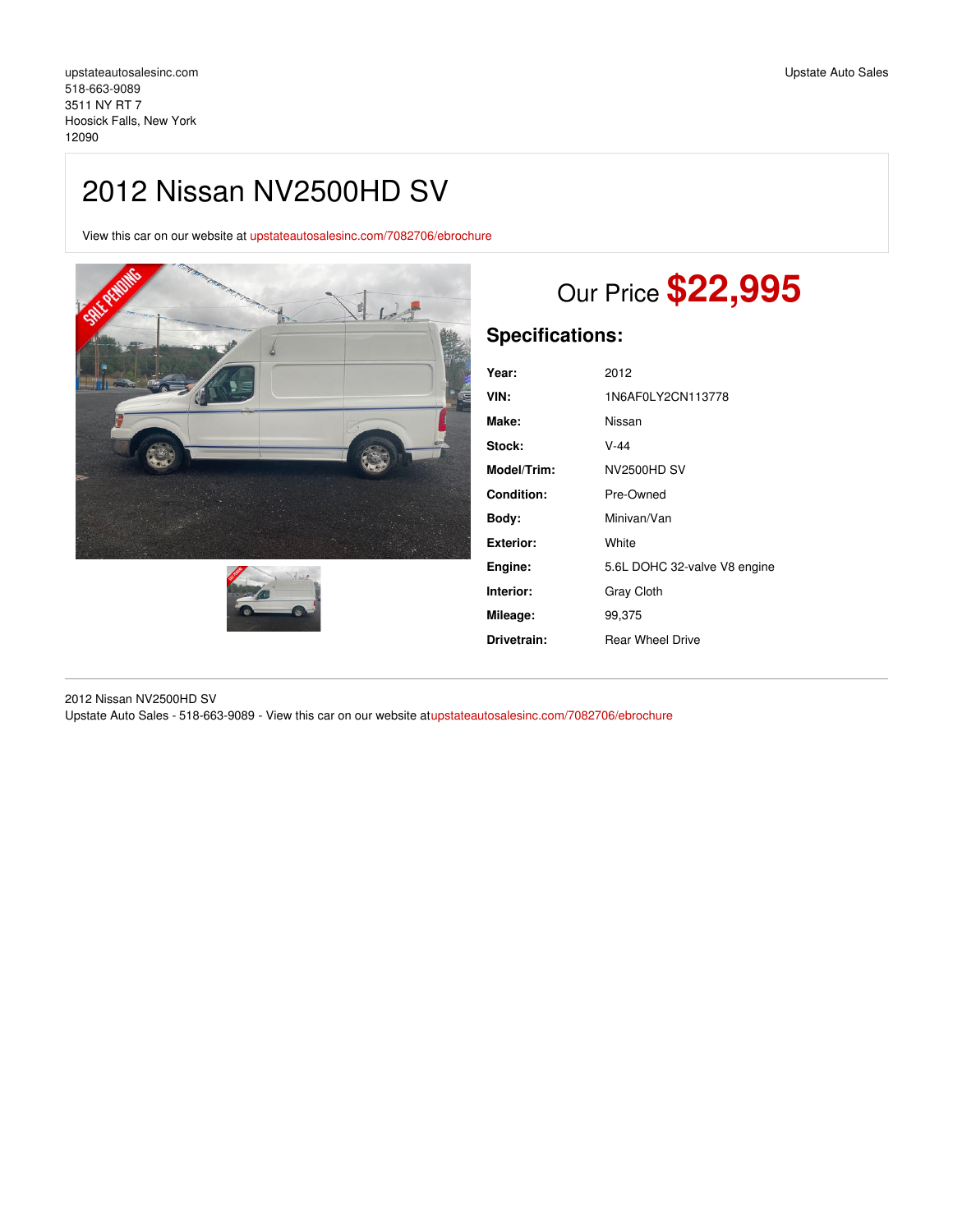## 2012 Nissan NV2500HD SV

View this car on our website at [upstateautosalesinc.com/7082706/ebrochure](https://upstateautosalesinc.com/vehicle/7082706/2012-nissan-nv2500hd-sv-hoosick-falls-new-york-12090/7082706/ebrochure)





# Our Price **\$22,995**

## **Specifications:**

| Year:       | 2012                         |
|-------------|------------------------------|
| VIN:        | 1N6AF0LY2CN113778            |
| Make:       | Nissan                       |
| Stock:      | $V-44$                       |
| Model/Trim: | <b>NV2500HD SV</b>           |
| Condition:  | Pre-Owned                    |
| Body:       | Minivan/Van                  |
| Exterior:   | White                        |
| Engine:     | 5.6L DOHC 32-valve V8 engine |
| Interior:   | <b>Gray Cloth</b>            |
| Mileage:    | 99,375                       |
| Drivetrain: | <b>Rear Wheel Drive</b>      |

2012 Nissan NV2500HD SV Upstate Auto Sales - 518-663-9089 - View this car on our website a[tupstateautosalesinc.com/7082706/ebrochure](https://upstateautosalesinc.com/vehicle/7082706/2012-nissan-nv2500hd-sv-hoosick-falls-new-york-12090/7082706/ebrochure)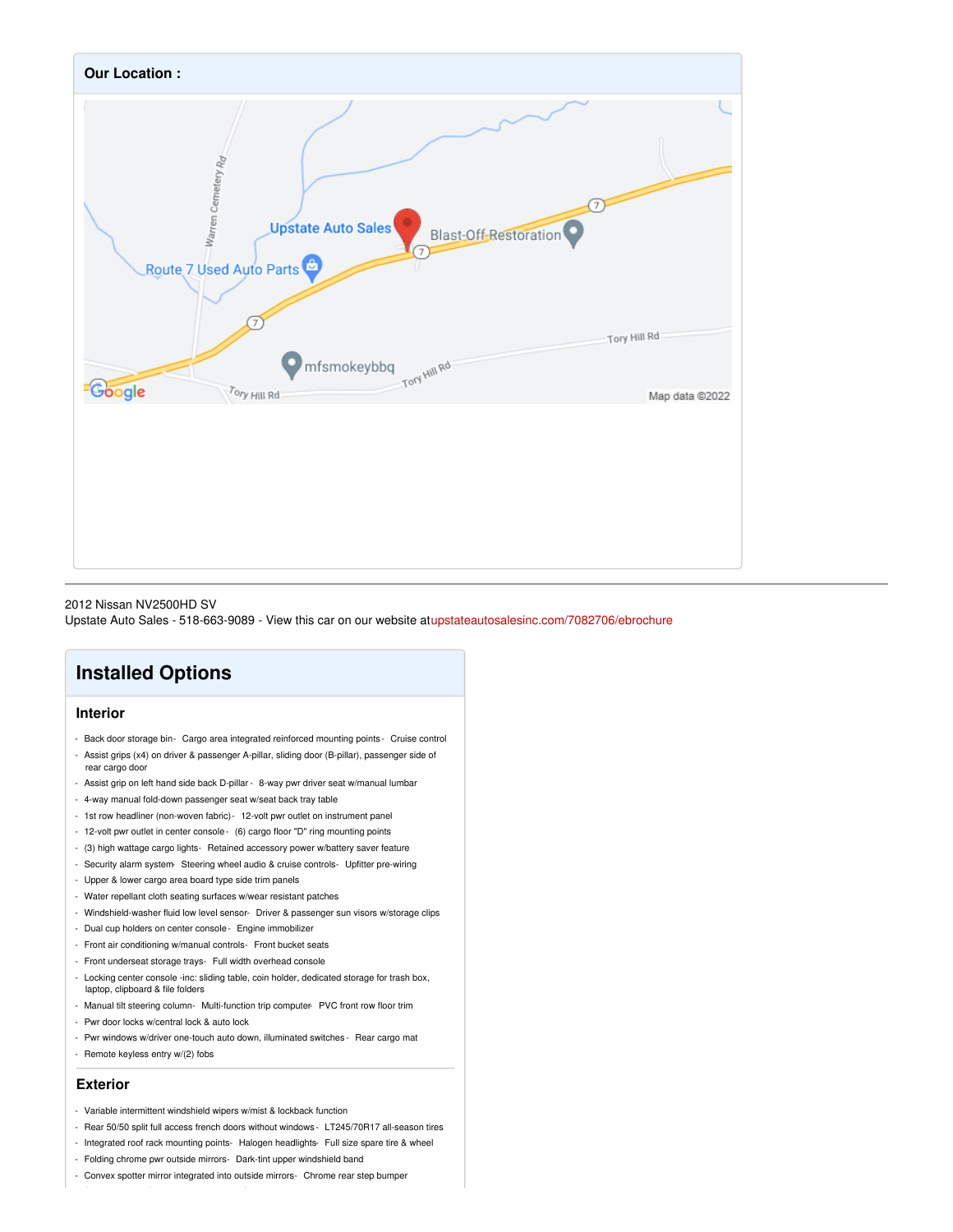

#### 2012 Nissan NV2500HD SV

Upstate Auto Sales - 518-663-9089 - View this car on our website a[tupstateautosalesinc.com/7082706/ebrochure](https://upstateautosalesinc.com/vehicle/7082706/2012-nissan-nv2500hd-sv-hoosick-falls-new-york-12090/7082706/ebrochure)

## **Installed Options**

#### **Interior**

- Back door storage bin- Cargo area integrated reinforced mounting points Cruise control - Assist grips (x4) on driver & passenger A-pillar, sliding door (B-pillar), passenger side of
- rear cargo door
- Assist grip on left hand side back D-pillar 8-way pwr driver seat w/manual lumbar
- 4-way manual fold-down passenger seat w/seat back tray table
- 1st row headliner (non-woven fabric)- 12-volt pwr outlet on instrument panel
- 12-volt pwr outlet in center console- (6) cargo floor "D" ring mounting points
- (3) high wattage cargo lights- Retained accessory power w/battery saver feature
- Security alarm system- Steering wheel audio & cruise controls- Upfitter pre-wiring
- Upper & lower cargo area board type side trim panels
- Water repellant cloth seating surfaces w/wear resistant patches
- Windshield-washer fluid low level sensor- Driver & passenger sun visors w/storage clips
- Dual cup holders on center console- Engine immobilizer
- Front air conditioning w/manual controls- Front bucket seats
- Front underseat storage trays- Full width overhead console
- Locking center console -inc: sliding table, coin holder, dedicated storage for trash box, laptop, clipboard & file folders
- Manual tilt steering column- Multi-function trip computer- PVC front row floor trim
- Pwr door locks w/central lock & auto lock
- Pwr windows w/driver one-touch auto down, illuminated switches Rear cargo mat
- Remote keyless entry w/(2) fobs

#### **Exterior**

- Variable intermittent windshield wipers w/mist & lockback function
- Rear 50/50 split full access french doors without windows LT245/70R17 all-season tires
- Integrated roof rack mounting points- Halogen headlights- Full size spare tire & wheel
- Folding chrome pwr outside mirrors- Dark-tint upper windshield band
- Convex spotter mirror integrated into outside mirrors- Chrome rear step bumper